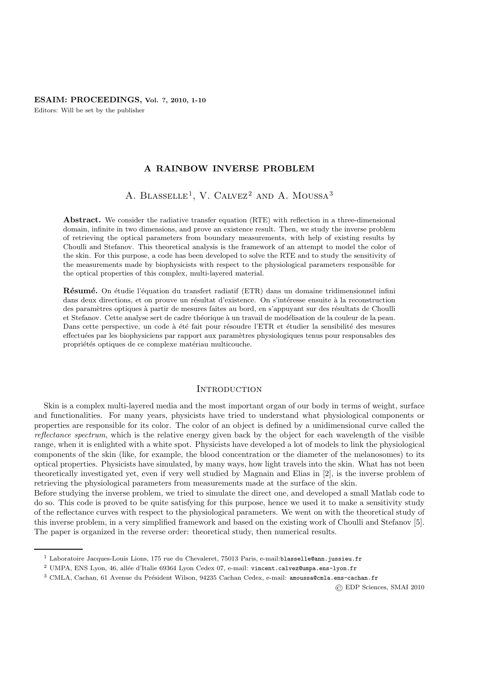ESAIM: PROCEEDINGS, Vol. ?, 2010, 1-10 Editors: Will be set by the publisher

# A RAINBOW INVERSE PROBLEM

A. BLASSELLE<sup>1</sup>, V. CALVEZ<sup>2</sup> AND A. MOUSSA<sup>3</sup>

Abstract. We consider the radiative transfer equation (RTE) with reflection in a three-dimensional domain, infinite in two dimensions, and prove an existence result. Then, we study the inverse problem of retrieving the optical parameters from boundary measurements, with help of existing results by Choulli and Stefanov. This theoretical analysis is the framework of an attempt to model the color of the skin. For this purpose, a code has been developed to solve the RTE and to study the sensitivity of the measurements made by biophysicists with respect to the physiological parameters responsible for the optical properties of this complex, multi-layered material.

Résumé. On étudie l'équation du transfert radiatif (ETR) dans un domaine tridimensionnel infini dans deux directions, et on prouve un résultat d'existence. On s'intéresse ensuite à la reconstruction des paramètres optiques à partir de mesures faites au bord, en s'appuyant sur des résultats de Choulli et Stefanov. Cette analyse sert de cadre théorique à un travail de modélisation de la couleur de la peau. Dans cette perspective, un code à été fait pour résoudre l'ETR et étudier la sensibilité des mesures effectuées par les biophysiciens par rapport aux paramètres physiologiques tenus pour responsables des propriétés optiques de ce complexe matériau multicouche.

# **INTRODUCTION**

Skin is a complex multi-layered media and the most important organ of our body in terms of weight, surface and functionalities. For many years, physicists have tried to understand what physiological components or properties are responsible for its color. The color of an object is defined by a unidimensional curve called the reflectance spectrum, which is the relative energy given back by the object for each wavelength of the visible range, when it is enlighted with a white spot. Physicists have developed a lot of models to link the physiological components of the skin (like, for example, the blood concentration or the diameter of the melanosomes) to its optical properties. Physicists have simulated, by many ways, how light travels into the skin. What has not been theoretically investigated yet, even if very well studied by Magnain and Elias in [2], is the inverse problem of retrieving the physiological parameters from measurements made at the surface of the skin.

Before studying the inverse problem, we tried to simulate the direct one, and developed a small Matlab code to do so. This code is proved to be quite satisfying for this purpose, hence we used it to make a sensitivity study of the reflectance curves with respect to the physiological parameters. We went on with the theoretical study of this inverse problem, in a very simplified framework and based on the existing work of Choulli and Stefanov [5]. The paper is organized in the reverse order: theoretical study, then numerical results.

© EDP Sciences, SMAI 2010

<sup>1</sup> Laboratoire Jacques-Louis Lions, 175 rue du Chevaleret, 75013 Paris, e-mail:blasselle@ann.jussieu.fr

<sup>&</sup>lt;sup>2</sup> UMPA, ENS Lyon, 46, allée d'Italie 69364 Lyon Cedex 07, e-mail: vincent.calvez@umpa.ens-lyon.fr

 $3$  CMLA, Cachan, 61 Avenue du Président Wilson, 94235 Cachan Cedex, e-mail: amoussa@cmla.ens-cachan.fr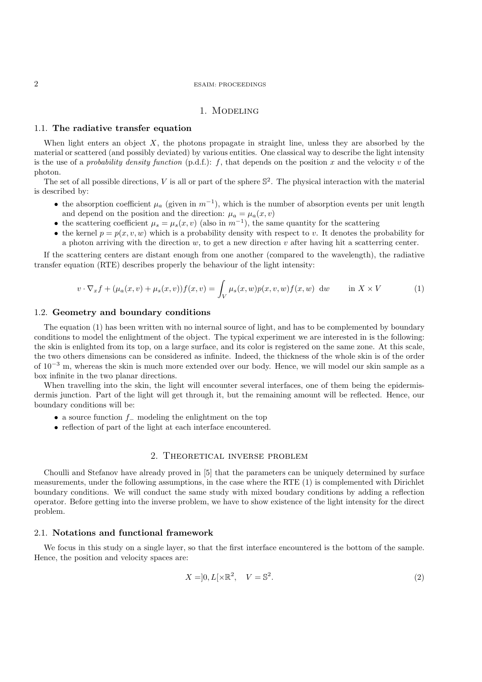## 1. Modeling

# 1.1. The radiative transfer equation

When light enters an object  $X$ , the photons propagate in straight line, unless they are absorbed by the material or scattered (and possibly deviated) by various entities. One classical way to describe the light intensity is the use of a probability density function  $(p.d.f.)$ : f, that depends on the position x and the velocity v of the photon.

The set of all possible directions,  $V$  is all or part of the sphere  $\mathbb{S}^2$ . The physical interaction with the material is described by:

- the absorption coefficient  $\mu_a$  (given in  $m^{-1}$ ), which is the number of absorption events per unit length and depend on the position and the direction:  $\mu_a = \mu_a(x, v)$
- the scattering coefficient  $\mu_s = \mu_s(x, v)$  (also in  $m^{-1}$ ), the same quantity for the scattering
- the kernel  $p = p(x, v, w)$  which is a probability density with respect to v. It denotes the probability for a photon arriving with the direction  $w$ , to get a new direction  $v$  after having hit a scatterring center.

If the scattering centers are distant enough from one another (compared to the wavelength), the radiative transfer equation (RTE) describes properly the behaviour of the light intensity:

$$
v \cdot \nabla_x f + (\mu_a(x, v) + \mu_s(x, v)) f(x, v) = \int_V \mu_s(x, w) p(x, v, w) f(x, w) dw \quad \text{in } X \times V \tag{1}
$$

### 1.2. Geometry and boundary conditions

The equation (1) has been written with no internal source of light, and has to be complemented by boundary conditions to model the enlightment of the object. The typical experiment we are interested in is the following: the skin is enlighted from its top, on a large surface, and its color is registered on the same zone. At this scale, the two others dimensions can be considered as infinite. Indeed, the thickness of the whole skin is of the order of 10<sup>−</sup><sup>3</sup> m, whereas the skin is much more extended over our body. Hence, we will model our skin sample as a box infinite in the two planar directions.

When travelling into the skin, the light will encounter several interfaces, one of them being the epidermisdermis junction. Part of the light will get through it, but the remaining amount will be reflected. Hence, our boundary conditions will be:

- a source function  $f_$  modeling the enlightment on the top
- reflection of part of the light at each interface encountered.

## 2. Theoretical inverse problem

Choulli and Stefanov have already proved in [5] that the parameters can be uniquely determined by surface measurements, under the following assumptions, in the case where the RTE (1) is complemented with Dirichlet boundary conditions. We will conduct the same study with mixed boudary conditions by adding a reflection operator. Before getting into the inverse problem, we have to show existence of the light intensity for the direct problem.

## 2.1. Notations and functional framework

We focus in this study on a single layer, so that the first interface encountered is the bottom of the sample. Hence, the position and velocity spaces are:

$$
X = ]0, L[\times \mathbb{R}^2, \quad V = \mathbb{S}^2. \tag{2}
$$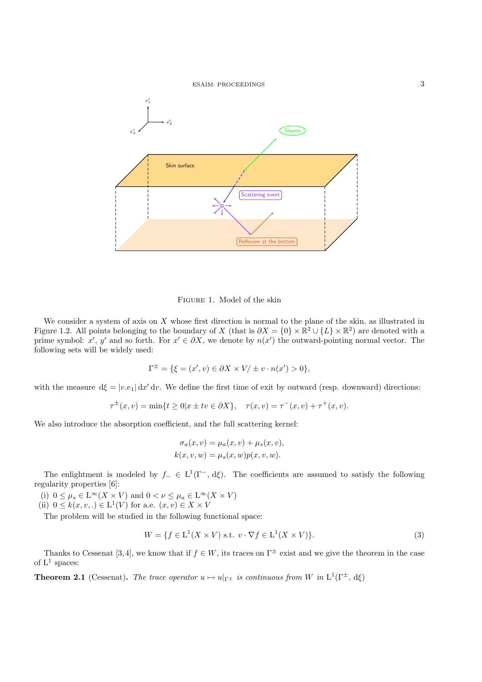



We consider a system of axis on  $X$  whose first direction is normal to the plane of the skin, as illustrated in Figure 1.2. All points belonging to the boundary of X (that is  $\partial X = \{0\} \times \mathbb{R}^2 \cup \{L\} \times \mathbb{R}^2$ ) are denoted with a prime symbol: x', y' and so forth. For  $x' \in \partial X$ , we denote by  $n(x')$  the outward-pointing normal vector. The following sets will be widely used:

$$
\Gamma^{\pm} = \{ \xi = (x', v) \in \partial X \times V / \pm v \cdot n(x') > 0 \},
$$

with the measure  $d\xi = |v.e_1| dx' dv$ . We define the first time of exit by outward (resp. downward) directions:

$$
\tau^{\pm}(x, v) = \min\{t \ge 0 | x \pm tv \in \partial X\}, \quad \tau(x, v) = \tau^-(x, v) + \tau^+(x, v).
$$

We also introduce the absorption coefficient, and the full scattering kernel:

$$
\sigma_a(x, v) = \mu_a(x, v) + \mu_s(x, v),
$$
  

$$
k(x, v, w) = \mu_s(x, w)p(x, v, w).
$$

The enlightment is modeled by  $f_-\in L^1(\Gamma^-, d\xi)$ . The coefficients are assumed to satisfy the following regularity properties [6]:

(i)  $0 \le \mu_s \in \mathcal{L}^{\infty}(X \times V)$  and  $0 < \nu \le \mu_a \in \mathcal{L}^{\infty}(X \times V)$ 

(ii)  $0 \leq k(x, v,.) \in L^1(V)$  for a.e.  $(x, v) \in X \times V$ 

The problem will be studied in the following functional space:

$$
W = \{ f \in L^1(X \times V) \text{ s.t. } v \cdot \nabla f \in L^1(X \times V) \}. \tag{3}
$$

Thanks to Cessenat [3, 4], we know that if  $f \in W$ , its traces on  $\Gamma^{\pm}$  exist and we give the theorem in the case of  $L^1$  spaces:

**Theorem 2.1** (Cessenat). The trace operator  $u \mapsto u|_{\Gamma^{\pm}}$  is continuous from W in  $L^{1}(\Gamma^{\pm}, d\xi)$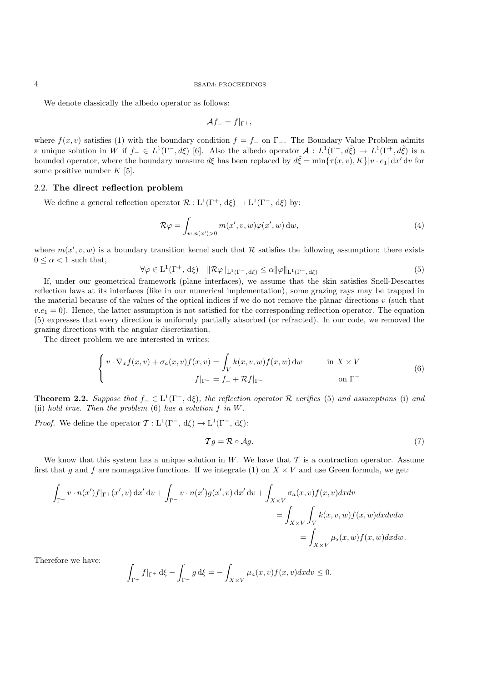We denote classically the albedo operator as follows:

$$
\mathcal{A}f_{-}=f|_{\Gamma^{+}},
$$

where  $f(x, v)$  satisfies (1) with the boundary condition  $f = f_-\text{ on } \Gamma_-\text{.}$  The Boundary Value Problem admits a unique solution in W if  $f_-\in L^1(\Gamma^-, d\xi)$  [6]. Also the albedo operator  $\mathcal{A}: L^1(\Gamma^-, d\tilde{\xi}) \to L^1(\Gamma^+, d\tilde{\xi})$  is a bounded operator, where the boundary measure  $d\xi$  has been replaced by  $d\tilde{\xi} = \min{\tau(x, v), K} |v \cdot e_1| dx' dv$  for some positive number  $K$  [5].

## 2.2. The direct reflection problem

We define a general reflection operator  $\mathcal{R}: L^1(\Gamma^+, d\xi) \to L^1(\Gamma^-, d\xi)$  by:

$$
\mathcal{R}\varphi = \int_{w.n(x')>0} m(x', v, w)\varphi(x', w) \,dw,\tag{4}
$$

where  $m(x', v, w)$  is a boundary transition kernel such that R satisfies the following assumption: there exists  $0 \leq \alpha < 1$  such that,

$$
\forall \varphi \in L^1(\Gamma^+, \, d\xi) \quad \|\mathcal{R}\varphi\|_{L^1(\Gamma^-, \, d\xi)} \le \alpha \|\varphi\|_{L^1(\Gamma^+, \, d\xi)} \tag{5}
$$

If, under our geometrical framework (plane interfaces), we assume that the skin satisfies Snell-Descartes reflection laws at its interfaces (like in our numerical implementation), some grazing rays may be trapped in the material because of the values of the optical indices if we do not remove the planar directions  $v$  (such that  $v.e<sub>1</sub> = 0$ . Hence, the latter assumption is not satisfied for the corresponding reflection operator. The equation (5) expresses that every direction is uniformly partially absorbed (or refracted). In our code, we removed the grazing directions with the angular discretization.

The direct problem we are interested in writes:

$$
\begin{cases}\nv \cdot \nabla_x f(x, v) + \sigma_a(x, v) f(x, v) = \int_V k(x, v, w) f(x, w) \, dw & \text{in } X \times V \\
f|_{\Gamma^-} = f_- + \mathcal{R} f|_{\Gamma^-} & \text{on } \Gamma^-\n\end{cases}
$$
\n(6)

**Theorem 2.2.** Suppose that  $f_-\in L^1(\Gamma^-, d\xi)$ , the reflection operator R verifies (5) and assumptions (i) and (ii) hold true. Then the problem  $(6)$  has a solution f in W.

*Proof.* We define the operator  $\mathcal{T}: L^1(\Gamma^-, \, d\xi) \to L^1(\Gamma^-, \, d\xi)$ :

$$
\mathcal{T}g = \mathcal{R} \circ \mathcal{A}g. \tag{7}
$$

We know that this system has a unique solution in W. We have that  $\mathcal T$  is a contraction operator. Assume first that g and f are nonnegative functions. If we integrate (1) on  $X \times V$  and use Green formula, we get:

$$
\int_{\Gamma^+} v \cdot n(x') f_{|\Gamma^+}(x', v) dx' dv + \int_{\Gamma^-} v \cdot n(x') g(x', v) dx' dv + \int_{X \times V} \sigma_a(x, v) f(x, v) dx dv
$$
  
= 
$$
\int_{X \times V} \int_V k(x, v, w) f(x, w) dx dv dv
$$
  
= 
$$
\int_{X \times V} \mu_s(x, w) f(x, w) dx dw.
$$

Therefore we have:

$$
\int_{\Gamma^+} f|_{\Gamma^+} d\xi - \int_{\Gamma^-} g d\xi = - \int_{X \times V} \mu_a(x, v) f(x, v) dx dv \le 0.
$$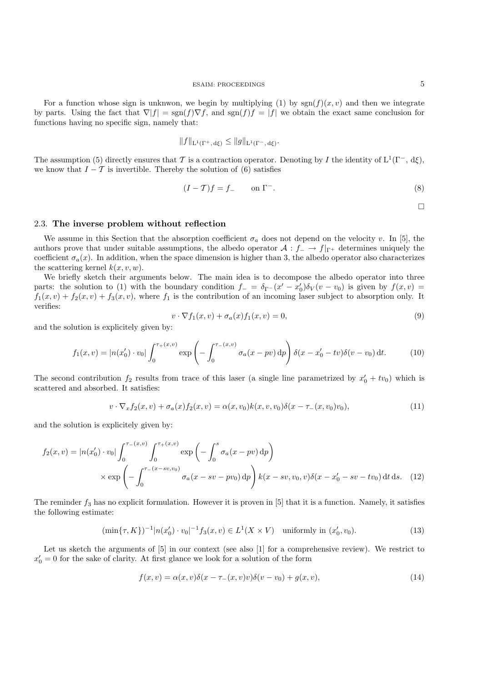For a function whose sign is unknwon, we begin by multiplying (1) by  $sgn(f)(x, v)$  and then we integrate by parts. Using the fact that  $\nabla |f| = sgn(f)\nabla f$ , and  $sgn(f)f = |f|$  we obtain the exact same conclusion for functions having no specific sign, namely that:

$$
||f||_{L^1(\Gamma^+, \, d\xi)} \leq ||g||_{L^1(\Gamma^-, \, d\xi)}.
$$

The assumption (5) directly ensures that T is a contraction operator. Denoting by I the identity of  $L^1(\Gamma^-, d\xi)$ , we know that  $I - \mathcal{T}$  is invertible. Thereby the solution of (6) satisfies

$$
(I - T)f = f_{-} \qquad \text{on } \Gamma^{-}.
$$
 (8)

 $\Box$ 

### 2.3. The inverse problem without reflection

We assume in this Section that the absorption coefficient  $\sigma_a$  does not depend on the velocity v. In [5], the authors prove that under suitable assumptions, the albedo operator  $\mathcal{A}: f_-\to f|_{\Gamma^+}$  determines uniquely the coefficient  $\sigma_a(x)$ . In addition, when the space dimension is higher than 3, the albedo operator also characterizes the scattering kernel  $k(x, v, w)$ .

We briefly sketch their arguments below. The main idea is to decompose the albedo operator into three parts: the solution to (1) with the boundary condition  $f_ - = \delta_{\Gamma} (x' - x'_0) \delta_V (v - v_0)$  is given by  $f(x, v) =$  $f_1(x, v) + f_2(x, v) + f_3(x, v)$ , where  $f_1$  is the contribution of an incoming laser subject to absorption only. It verifies:

$$
v \cdot \nabla f_1(x, v) + \sigma_a(x) f_1(x, v) = 0,\tag{9}
$$

and the solution is explicitely given by:

$$
f_1(x,v) = |n(x'_0) \cdot v_0| \int_0^{\tau_+(x,v)} \exp\left(-\int_0^{\tau_-(x,v)} \sigma_a(x-pv) \,dp\right) \delta(x-x'_0-tv) \delta(v-v_0) \,dt. \tag{10}
$$

The second contribution  $f_2$  results from trace of this laser (a single line parametrized by  $x'_0 + tv_0$ ) which is scattered and absorbed. It satisfies:

$$
v \cdot \nabla_x f_2(x, v) + \sigma_a(x) f_2(x, v) = \alpha(x, v_0) k(x, v, v_0) \delta(x - \tau_-(x, v_0) v_0), \tag{11}
$$

and the solution is explicitely given by:

$$
f_2(x,v) = |n(x'_0) \cdot v_0| \int_0^{\tau_-(x,v)} \int_0^{\tau_+(x,v)} \exp\left(-\int_0^s \sigma_a(x - pv) \, dp\right)
$$
  
×  $\exp\left(-\int_0^{\tau_-(x-sv,v_0)} \sigma_a(x - sv - pv_0) \, dp\right) k(x - sv, v_0, v) \delta(x - x'_0 - sv - tv_0) \, dt \, ds.$  (12)

The reminder  $f_3$  has no explicit formulation. However it is proven in [5] that it is a function. Namely, it satisfies the following estimate:

$$
(\min\{\tau, K\})^{-1} |n(x_0') \cdot v_0|^{-1} f_3(x, v) \in L^1(X \times V) \quad \text{uniformly in } (x_0', v_0). \tag{13}
$$

Let us sketch the arguments of [5] in our context (see also [1] for a comprehensive review). We restrict to  $x'_0 = 0$  for the sake of clarity. At first glance we look for a solution of the form

$$
f(x,v) = \alpha(x,v)\delta(x-\tau_-(x,v)v)\delta(v-v_0) + g(x,v),\tag{14}
$$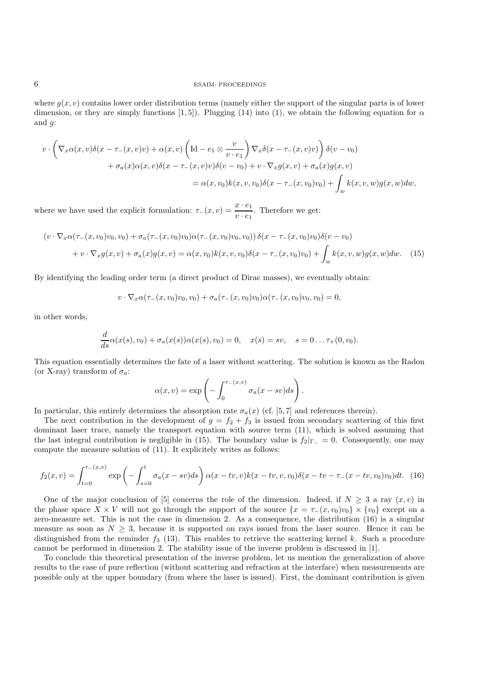where  $g(x, v)$  contains lower order distribution terms (namely either the support of the singular parts is of lower dimension, or they are simply functions [1, 5]). Plugging (14) into (1), we obtain the following equation for  $\alpha$ and  $q$ :

$$
v \cdot \left(\nabla_x \alpha(x,v)\delta(x-\tau_-(x,v)v) + \alpha(x,v)\left(\mathrm{Id}-e_1\otimes \frac{v}{v\cdot e_1}\right)\nabla_x \delta(x-\tau_-(x,v)v)\right)\delta(v-v_0)
$$

$$
+ \sigma_a(x)\alpha(x,v)\delta(x-\tau_-(x,v)v)\delta(v-v_0) + v\cdot\nabla_x g(x,v) + \sigma_a(x)g(x,v)
$$

$$
= \alpha(x,v_0)k(x,v,v_0)\delta(x-\tau_-(x,v_0)v_0) + \int_w k(x,v,w)g(x,w)dw,
$$

where we have used the explicit formulation:  $\tau_-(x, v) = \frac{x \cdot e_1}{v \cdot e_1}$ . Therefore we get:

$$
(v \cdot \nabla_x \alpha(\tau_-(x, v_0)v_0, v_0) + \sigma_a(\tau_-(x, v_0)v_0)\alpha(\tau_-(x, v_0)v_0, v_0)) \delta(x - \tau_-(x, v_0)v_0)\delta(v - v_0)
$$
  
+ 
$$
v \cdot \nabla_x g(x, v) + \sigma_a(x)g(x, v) = \alpha(x, v_0)k(x, v, v_0)\delta(x - \tau_-(x, v_0)v_0) + \int_w k(x, v, w)g(x, w)dw.
$$
 (15)

By identifying the leading order term (a direct product of Dirac masses), we eventually obtain:

$$
v \cdot \nabla_x \alpha(\tau_-(x, v_0)v_0, v_0) + \sigma_a(\tau_-(x, v_0)v_0)\alpha(\tau_-(x, v_0)v_0, v_0) = 0,
$$

in other words,

$$
\frac{d}{ds}\alpha(x(s),v_0) + \sigma_a(x(s))\alpha(x(s),v_0) = 0, \quad x(s) = sv, \quad s = 0 \dots \tau_+(0,v_0).
$$

This equation essentially determines the fate of a laser without scattering. The solution is known as the Radon (or X-ray) transform of  $\sigma_a$ :

$$
\alpha(x,v) = \exp\left(-\int_0^{\tau_-(x,v)} \sigma_a(x-sv)ds\right).
$$

In particular, this entirely determines the absorption rate  $\sigma_a(x)$  (cf. [5,7] and references therein).

The next contribution in the development of  $g = f_2 + f_3$  is issued from secondary scattering of this first dominant laser trace, namely the transport equation with source term (11), which is solved assuming that the last integral contribution is negligible in (15). The boundary value is  $f_2|_{\Gamma_+}=0$ . Consequently, one may compute the measure solution of (11). It explicitely writes as follows:

$$
f_2(x,v) = \int_{t=0}^{\tau_-(x,v)} \exp\left(-\int_{s=0}^t \sigma_a(x-sv)ds\right) \alpha(x-tv,v)k(x-tv,v,v_0)\delta(x-tv-\tau_-(x-tv,v_0)v_0)dt. \tag{16}
$$

One of the major conclusion of [5] concerns the role of the dimension. Indeed, if  $N > 3$  a ray  $(x, v)$  in the phase space  $X \times V$  will not go through the support of the source  $\{x = \tau_-(x, v_0)v_0\} \times \{v_0\}$  except on a zero-measure set. This is not the case in dimension 2. As a consequence, the distribution (16) is a singular measure as soon as  $N \geq 3$ , because it is supported on rays issued from the laser source. Hence it can be distinguished from the reminder  $f_3$  (13). This enables to retrieve the scattering kernel k. Such a procedure cannot be performed in dimension 2. The stability issue of the inverse problem is discussed in [1].

To conclude this theoretical presentation of the inverse problem, let us mention the generalization of above results to the case of pure reflection (without scattering and refraction at the interface) when measurements are possible only at the upper boundary (from where the laser is issued). First, the dominant contribution is given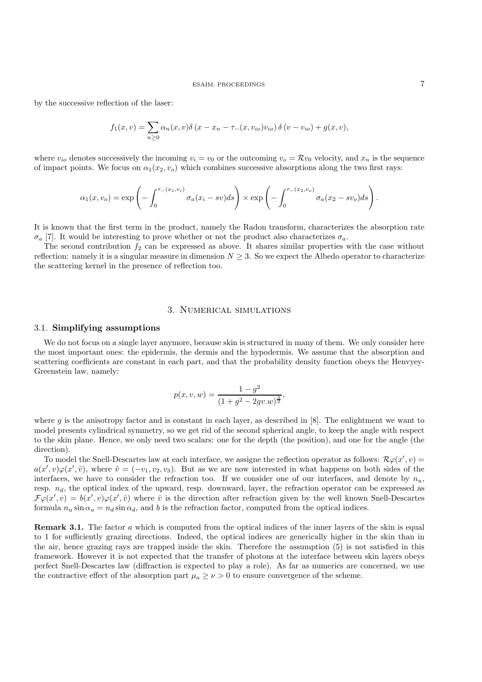by the successive reflection of the laser:

$$
f_1(x,v) = \sum_{n\geq 0} \alpha_n(x,v) \delta(x - x_n - \tau_-(x,v_{io})v_{io}) \delta(v - v_{io}) + g(x,v),
$$

where  $v_{io}$  denotes successively the incoming  $v_i = v_0$  or the outcoming  $v_o = \mathcal{R}v_0$  velocity, and  $x_n$  is the sequence of impact points. We focus on  $\alpha_1(x_2, v_0)$  which combines successive absorptions along the two first rays:

$$
\alpha_1(x,v_o) = \exp\left(-\int_0^{\tau_-(x_1,v_i)} \sigma_a(x_i-sv)ds\right) \times \exp\left(-\int_0^{\tau_-(x_2,v_o)} \sigma_a(x_2-sv_o)ds\right).
$$

It is known that the first term in the product, namely the Radon transform, characterizes the absorption rate  $\sigma_a$  [7]. It would be interesting to prove whether or not the product also characterizes  $\sigma_a$ .

The second contribution  $f_2$  can be expressed as above. It shares similar properties with the case without reflection: namely it is a singular measure in dimension  $N \geq 3$ . So we expect the Albedo operator to characterize the scattering kernel in the presence of reflection too.

## 3. Numerical simulations

### 3.1. Simplifying assumptions

We do not focus on a single layer anymore, because skin is structured in many of them. We only consider here the most important ones: the epidermis, the dermis and the hypodermis. We assume that the absorption and scattering coefficients are constant in each part, and that the probability density function obeys the Henvyey-Greenstein law, namely:

$$
p(x, v, w) = \frac{1 - g^2}{(1 + g^2 - 2gv.w)^{\frac{3}{2}}},
$$

where g is the anisotropy factor and is constant in each layer, as described in  $[8]$ . The enlightment we want to model presents cylindrical symmetry, so we get rid of the second spherical angle, to keep the angle with respect to the skin plane. Hence, we only need two scalars: one for the depth (the position), and one for the angle (the direction).

To model the Snell-Descartes law at each interface, we assigne the reflection operator as follows:  $\mathcal{R}\varphi(x',v) =$  $a(x', v)\varphi(x', \tilde{v})$ , where  $\tilde{v} = (-v_1, v_2, v_3)$ . But as we are now interested in what happens on both sides of the interfaces, we have to consider the refraction too. If we consider one of our interfaces, and denote by  $n_u$ , resp.  $n_d$ , the optical index of the upward, resp. downward, layer, the refraction operator can be expressed as  $\mathcal{F}\varphi(x',v) = b(x',v)\varphi(x',\hat{v})$  where  $\hat{v}$  is the direction after refraction given by the well known Snell-Descartes formula  $n_u \sin \alpha_u = n_d \sin \alpha_d$ , and b is the refraction factor, computed from the optical indices.

Remark 3.1. The factor a which is computed from the optical indices of the inner layers of the skin is equal to 1 for sufficiently grazing directions. Indeed, the optical indices are generically higher in the skin than in the air, hence grazing rays are trapped inside the skin. Therefore the assumption (5) is not satisfied in this framework. However it is not expected that the transfer of photons at the interface between skin layers obeys perfect Snell-Descartes law (diffraction is expected to play a role). As far as numerics are concerned, we use the contractive effect of the absorption part  $\mu_a \geq \nu > 0$  to ensure convergence of the scheme.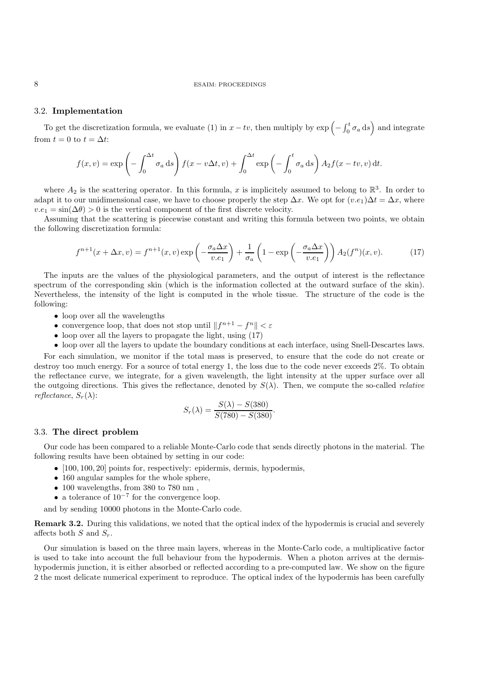## 3.2. Implementation

To get the discretization formula, we evaluate (1) in  $x - tv$ , then multiply by  $\exp\left(-\int_0^t \sigma_a ds\right)$  and integrate from  $t = 0$  to  $t = \Delta t$ :

$$
f(x,v) = \exp\left(-\int_0^{\Delta t} \sigma_a \,ds\right) f(x - v\Delta t, v) + \int_0^{\Delta t} \exp\left(-\int_0^t \sigma_a \,ds\right) A_2 f(x - tv, v) dt.
$$

where  $A_2$  is the scattering operator. In this formula, x is implicitely assumed to belong to  $\mathbb{R}^3$ . In order to adapt it to our unidimensional case, we have to choose properly the step  $\Delta x$ . We opt for  $(v.e_1)\Delta t = \Delta x$ , where  $v.e_1 = \sin(\Delta\theta) > 0$  is the vertical component of the first discrete velocity.

Assuming that the scattering is piecewise constant and writing this formula between two points, we obtain the following discretization formula:

$$
f^{n+1}(x + \Delta x, v) = f^{n+1}(x, v) \exp\left(-\frac{\sigma_a \Delta x}{v.e_1}\right) + \frac{1}{\sigma_a} \left(1 - \exp\left(-\frac{\sigma_a \Delta x}{v.e_1}\right)\right) A_2(f^n)(x, v).
$$
 (17)

The inputs are the values of the physiological parameters, and the output of interest is the reflectance spectrum of the corresponding skin (which is the information collected at the outward surface of the skin). Nevertheless, the intensity of the light is computed in the whole tissue. The structure of the code is the following:

- loop over all the wavelengths
- convergence loop, that does not stop until  $||f^{n+1} f^{n}|| < \varepsilon$
- loop over all the layers to propagate the light, using  $(17)$

• loop over all the layers to update the boundary conditions at each interface, using Snell-Descartes laws.

For each simulation, we monitor if the total mass is preserved, to ensure that the code do not create or destroy too much energy. For a source of total energy 1, the loss due to the code never exceeds 2%. To obtain the reflectance curve, we integrate, for a given wavelength, the light intensity at the upper surface over all the outgoing directions. This gives the reflectance, denoted by  $S(\lambda)$ . Then, we compute the so-called *relative* reflectance,  $S_r(\lambda)$ :

$$
S_r(\lambda) = \frac{S(\lambda) - S(380)}{S(780) - S(380)}.
$$

# 3.3. The direct problem

Our code has been compared to a reliable Monte-Carlo code that sends directly photons in the material. The following results have been obtained by setting in our code:

- [100, 100, 20] points for, respectively: epidermis, dermis, hypodermis,
- 160 angular samples for the whole sphere,
- 100 wavelengths, from 380 to 780 nm ,
- a tolerance of 10<sup>−</sup><sup>7</sup> for the convergence loop.
- and by sending 10000 photons in the Monte-Carlo code.

Remark 3.2. During this validations, we noted that the optical index of the hypodermis is crucial and severely affects both  $S$  and  $S_r$ .

Our simulation is based on the three main layers, whereas in the Monte-Carlo code, a multiplicative factor is used to take into account the full behaviour from the hypodermis. When a photon arrives at the dermishypodermis junction, it is either absorbed or reflected according to a pre-computed law. We show on the figure 2 the most delicate numerical experiment to reproduce. The optical index of the hypodermis has been carefully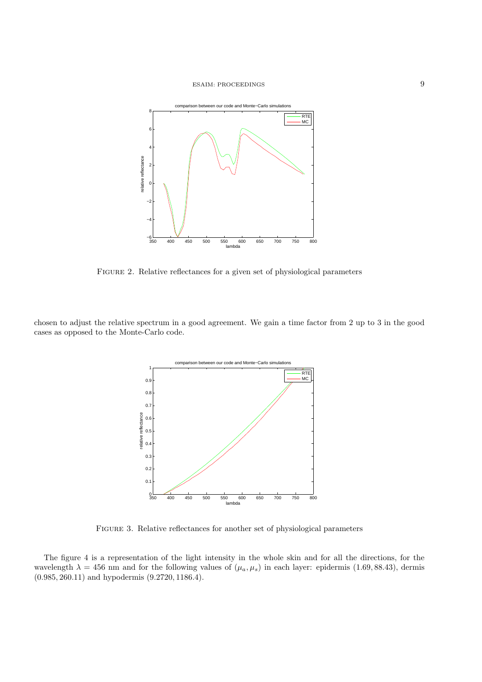

Figure 2. Relative reflectances for a given set of physiological parameters

chosen to adjust the relative spectrum in a good agreement. We gain a time factor from 2 up to 3 in the good cases as opposed to the Monte-Carlo code.



Figure 3. Relative reflectances for another set of physiological parameters

The figure 4 is a representation of the light intensity in the whole skin and for all the directions, for the wavelength  $\lambda = 456$  nm and for the following values of  $(\mu_a, \mu_s)$  in each layer: epidermis (1.69, 88.43), dermis (0.985, 260.11) and hypodermis (9.2720, 1186.4).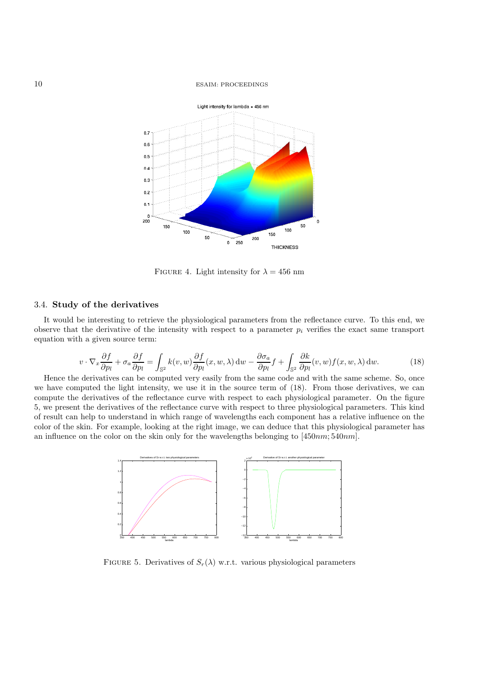

FIGURE 4. Light intensity for  $\lambda = 456$  nm

# 3.4. Study of the derivatives

It would be interesting to retrieve the physiological parameters from the reflectance curve. To this end, we observe that the derivative of the intensity with respect to a parameter  $p_i$  verifies the exact same transport equation with a given source term:

$$
v \cdot \nabla_x \frac{\partial f}{\partial p_l} + \sigma_a \frac{\partial f}{\partial p_l} = \int_{\mathbb{S}^2} k(v, w) \frac{\partial f}{\partial p_l}(x, w, \lambda) \, \mathrm{d}w - \frac{\partial \sigma_a}{\partial p_l} f + \int_{\mathbb{S}^2} \frac{\partial k}{\partial p_l}(v, w) f(x, w, \lambda) \, \mathrm{d}w. \tag{18}
$$

Hence the derivatives can be computed very easily from the same code and with the same scheme. So, once we have computed the light intensity, we use it in the source term of (18). From those derivatives, we can compute the derivatives of the reflectance curve with respect to each physiological parameter. On the figure 5, we present the derivatives of the reflectance curve with respect to three physiological parameters. This kind of result can help to understand in which range of wavelengths each component has a relative influence on the color of the skin. For example, looking at the right image, we can deduce that this physiological parameter has an influence on the color on the skin only for the wavelengths belonging to [450nm; 540nm].



FIGURE 5. Derivatives of  $S_r(\lambda)$  w.r.t. various physiological parameters